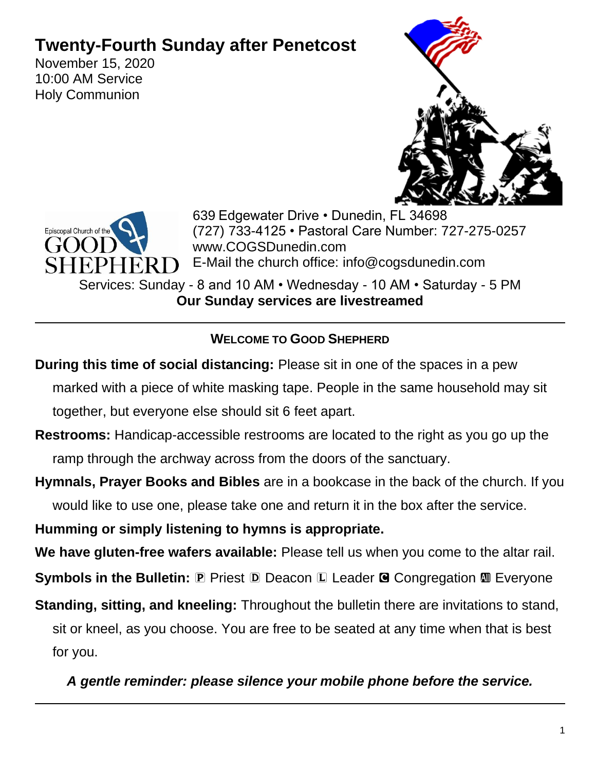# **Twenty-Fourth Sunday after Penetcost**

November 15, 2020 10:00 AM Service Holy Communion





639 Edgewater Drive • Dunedin, FL 34698 (727) 733-4125 • Pastoral Care Number: 727-275-0257 www.COGSDunedin.com E-Mail the church office: info@cogsdunedin.com

Services: Sunday - 8 and 10 AM • Wednesday - 10 AM • Saturday - 5 PM **Our Sunday services are livestreamed**

#### **WELCOME TO GOOD SHEPHERD**

- **During this time of social distancing:** Please sit in one of the spaces in a pew marked with a piece of white masking tape. People in the same household may sit together, but everyone else should sit 6 feet apart.
- **Restrooms:** Handicap-accessible restrooms are located to the right as you go up the ramp through the archway across from the doors of the sanctuary.

**Hymnals, Prayer Books and Bibles** are in a bookcase in the back of the church. If you would like to use one, please take one and return it in the box after the service.

**Humming or simply listening to hymns is appropriate.**

**We have gluten-free wafers available:** Please tell us when you come to the altar rail.

**Symbols in the Bulletin: P Priest D Deacon L Leader <b>G** Congregation **M** Everyone

**Standing, sitting, and kneeling:** Throughout the bulletin there are invitations to stand, sit or kneel, as you choose. You are free to be seated at any time when that is best for you.

*A gentle reminder: please silence your mobile phone before the service.*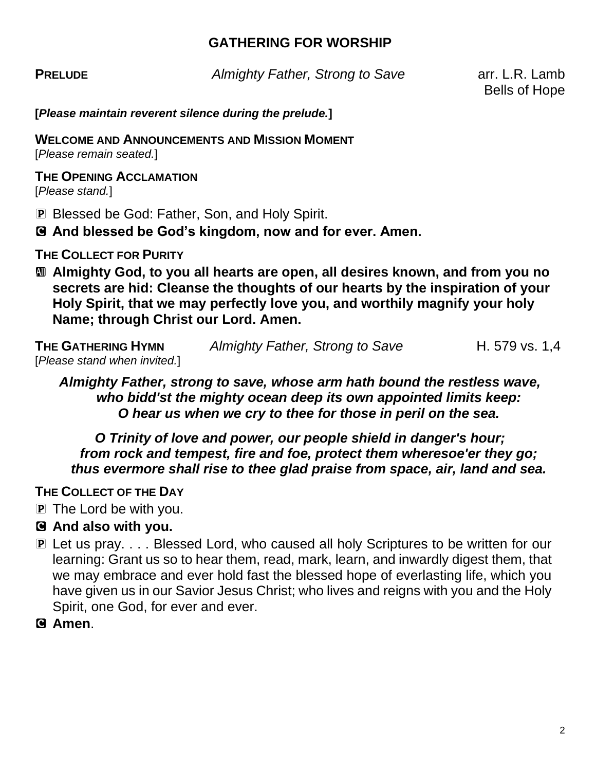#### **GATHERING FOR WORSHIP**

**PRELUDE** *Almighty Father, Strong to Save* arr. L.R. Lamb

Bells of Hope

**[***Please maintain reverent silence during the prelude.***]**

**WELCOME AND ANNOUNCEMENTS AND MISSION MOMENT** [*Please remain seated.*]

**THE OPENING ACCLAMATION** [*Please stand.*]

P Blessed be God: Father, Son, and Holy Spirit.

C **And blessed be God's kingdom, now and for ever. Amen.**

**THE COLLECT FOR PURITY**

a **Almighty God, to you all hearts are open, all desires known, and from you no secrets are hid: Cleanse the thoughts of our hearts by the inspiration of your Holy Spirit, that we may perfectly love you, and worthily magnify your holy Name; through Christ our Lord. Amen.**

| <b>THE GATHERING HYMN</b>    | Almighty Father, Strong to Save | H. 579 vs. 1,4 |
|------------------------------|---------------------------------|----------------|
| [Please stand when invited.] |                                 |                |

*Almighty Father, strong to save, whose arm hath bound the restless wave, who bidd'st the mighty ocean deep its own appointed limits keep: O hear us when we cry to thee for those in peril on the sea.*

*O Trinity of love and power, our people shield in danger's hour; from rock and tempest, fire and foe, protect them wheresoe'er they go; thus evermore shall rise to thee glad praise from space, air, land and sea.*

#### **THE COLLECT OF THE DAY**

- P The Lord be with you.
- C **And also with you.**
- P Let us pray. . . . Blessed Lord, who caused all holy Scriptures to be written for our learning: Grant us so to hear them, read, mark, learn, and inwardly digest them, that we may embrace and ever hold fast the blessed hope of everlasting life, which you have given us in our Savior Jesus Christ; who lives and reigns with you and the Holy Spirit, one God, for ever and ever.
- C **Amen**.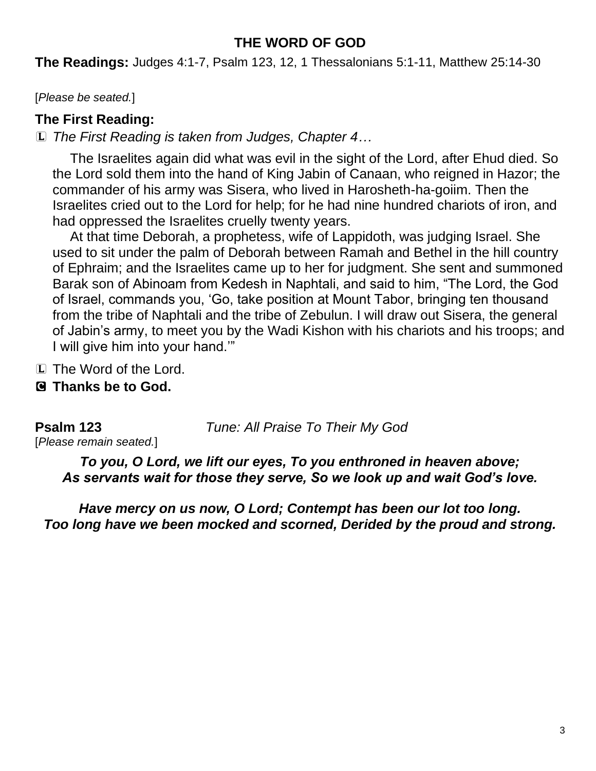#### **THE WORD OF GOD**

**The Readings:** Judges 4:1-7, Psalm 123, 12, 1 Thessalonians 5:1-11, Matthew 25:14-30

[*Please be seated.*]

#### **The First Reading:**

L *The First Reading is taken from Judges, Chapter 4…*

The Israelites again did what was evil in the sight of the Lord, after Ehud died. So the Lord sold them into the hand of King Jabin of Canaan, who reigned in Hazor; the commander of his army was Sisera, who lived in Harosheth-ha-goiim. Then the Israelites cried out to the Lord for help; for he had nine hundred chariots of iron, and had oppressed the Israelites cruelly twenty years.

At that time Deborah, a prophetess, wife of Lappidoth, was judging Israel. She used to sit under the palm of Deborah between Ramah and Bethel in the hill country of Ephraim; and the Israelites came up to her for judgment. She sent and summoned Barak son of Abinoam from Kedesh in Naphtali, and said to him, "The Lord, the God of Israel, commands you, 'Go, take position at Mount Tabor, bringing ten thousand from the tribe of Naphtali and the tribe of Zebulun. I will draw out Sisera, the general of Jabin's army, to meet you by the Wadi Kishon with his chariots and his troops; and I will give him into your hand.'"

L The Word of the Lord.

C **Thanks be to God.**

**Psalm 123** *Tune: All Praise To Their My God*

[*Please remain seated.*]

*To you, O Lord, we lift our eyes, To you enthroned in heaven above; As servants wait for those they serve, So we look up and wait God's love.*

*Have mercy on us now, O Lord; Contempt has been our lot too long. Too long have we been mocked and scorned, Derided by the proud and strong.*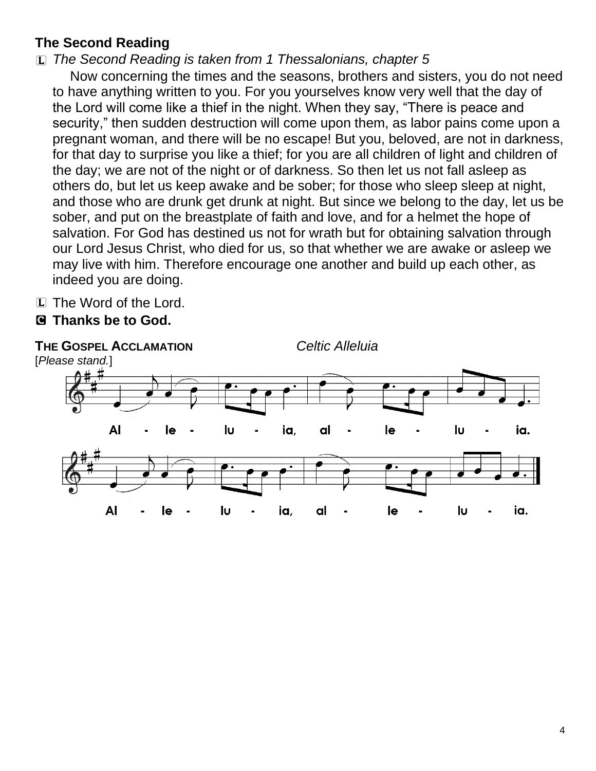# **The Second Reading**

#### L *The Second Reading is taken from 1 Thessalonians, chapter 5*

Now concerning the times and the seasons, brothers and sisters, you do not need to have anything written to you. For you yourselves know very well that the day of the Lord will come like a thief in the night. When they say, "There is peace and security," then sudden destruction will come upon them, as labor pains come upon a pregnant woman, and there will be no escape! But you, beloved, are not in darkness, for that day to surprise you like a thief; for you are all children of light and children of the day; we are not of the night or of darkness. So then let us not fall asleep as others do, but let us keep awake and be sober; for those who sleep sleep at night, and those who are drunk get drunk at night. But since we belong to the day, let us be sober, and put on the breastplate of faith and love, and for a helmet the hope of salvation. For God has destined us not for wrath but for obtaining salvation through our Lord Jesus Christ, who died for us, so that whether we are awake or asleep we may live with him. Therefore encourage one another and build up each other, as indeed you are doing.

L The Word of the Lord.

#### C **Thanks be to God.**

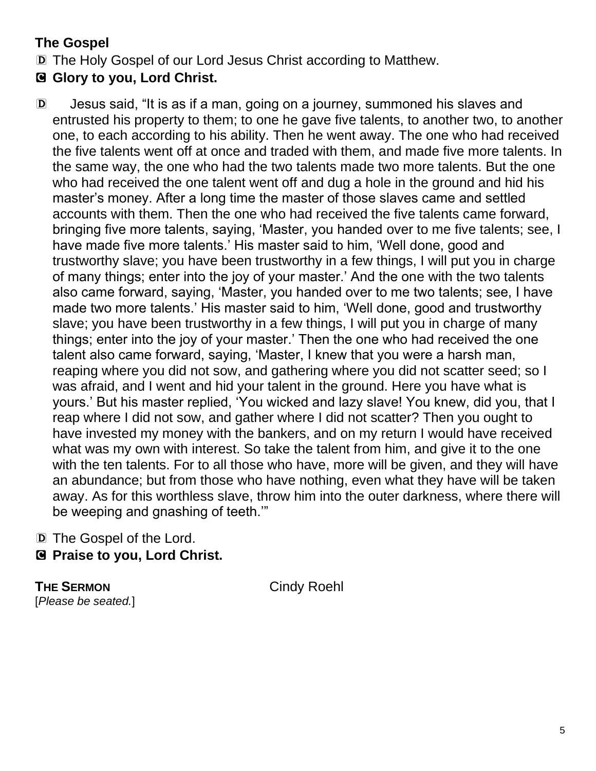# **The Gospel**

D The Holy Gospel of our Lord Jesus Christ according to Matthew.

# C **Glory to you, Lord Christ.**

D Jesus said, "It is as if a man, going on a journey, summoned his slaves and entrusted his property to them; to one he gave five talents, to another two, to another one, to each according to his ability. Then he went away. The one who had received the five talents went off at once and traded with them, and made five more talents. In the same way, the one who had the two talents made two more talents. But the one who had received the one talent went off and dug a hole in the ground and hid his master's money. After a long time the master of those slaves came and settled accounts with them. Then the one who had received the five talents came forward, bringing five more talents, saying, 'Master, you handed over to me five talents; see, I have made five more talents.' His master said to him, 'Well done, good and trustworthy slave; you have been trustworthy in a few things, I will put you in charge of many things; enter into the joy of your master.' And the one with the two talents also came forward, saying, 'Master, you handed over to me two talents; see, I have made two more talents.' His master said to him, 'Well done, good and trustworthy slave; you have been trustworthy in a few things, I will put you in charge of many things; enter into the joy of your master.' Then the one who had received the one talent also came forward, saying, 'Master, I knew that you were a harsh man, reaping where you did not sow, and gathering where you did not scatter seed; so I was afraid, and I went and hid your talent in the ground. Here you have what is yours.' But his master replied, 'You wicked and lazy slave! You knew, did you, that I reap where I did not sow, and gather where I did not scatter? Then you ought to have invested my money with the bankers, and on my return I would have received what was my own with interest. So take the talent from him, and give it to the one with the ten talents. For to all those who have, more will be given, and they will have an abundance; but from those who have nothing, even what they have will be taken away. As for this worthless slave, throw him into the outer darkness, where there will be weeping and gnashing of teeth.'"

D The Gospel of the Lord.

C **Praise to you, Lord Christ.**

**THE SERMON** Cindy Roehl [*Please be seated.*]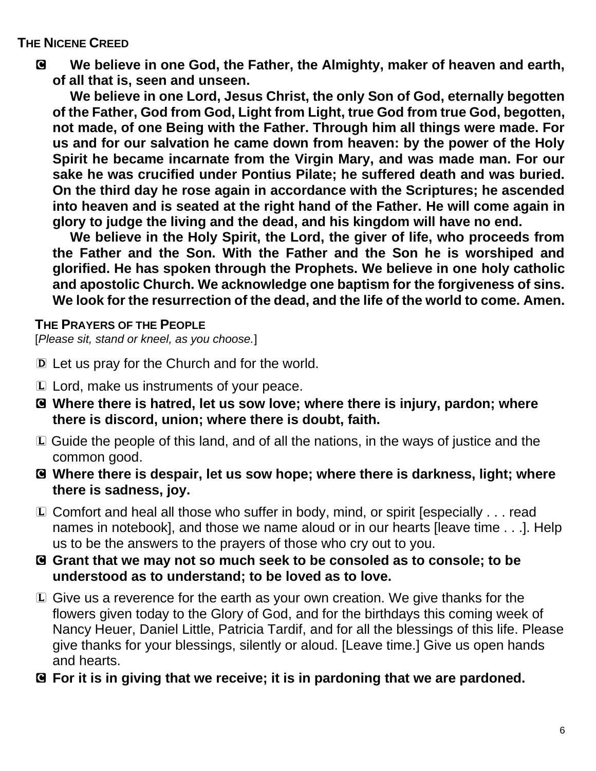**THE NICENE CREED**

C **We believe in one God, the Father, the Almighty, maker of heaven and earth, of all that is, seen and unseen.** 

**We believe in one Lord, Jesus Christ, the only Son of God, eternally begotten of the Father, God from God, Light from Light, true God from true God, begotten, not made, of one Being with the Father. Through him all things were made. For us and for our salvation he came down from heaven: by the power of the Holy Spirit he became incarnate from the Virgin Mary, and was made man. For our sake he was crucified under Pontius Pilate; he suffered death and was buried. On the third day he rose again in accordance with the Scriptures; he ascended into heaven and is seated at the right hand of the Father. He will come again in glory to judge the living and the dead, and his kingdom will have no end.**

**We believe in the Holy Spirit, the Lord, the giver of life, who proceeds from the Father and the Son. With the Father and the Son he is worshiped and glorified. He has spoken through the Prophets. We believe in one holy catholic and apostolic Church. We acknowledge one baptism for the forgiveness of sins. We look for the resurrection of the dead, and the life of the world to come. Amen.**

# **THE PRAYERS OF THE PEOPLE**

[*Please sit, stand or kneel, as you choose.*]

- D Let us pray for the Church and for the world.
- L Lord, make us instruments of your peace.
- C **Where there is hatred, let us sow love; where there is injury, pardon; where there is discord, union; where there is doubt, faith.**
- L Guide the people of this land, and of all the nations, in the ways of justice and the common good.
- C **Where there is despair, let us sow hope; where there is darkness, light; where there is sadness, joy.**
- L Comfort and heal all those who suffer in body, mind, or spirit [especially . . . read names in notebook], and those we name aloud or in our hearts [leave time . . .]. Help us to be the answers to the prayers of those who cry out to you.
- C **Grant that we may not so much seek to be consoled as to console; to be understood as to understand; to be loved as to love.**
- L Give us a reverence for the earth as your own creation. We give thanks for the flowers given today to the Glory of God, and for the birthdays this coming week of Nancy Heuer, Daniel Little, Patricia Tardif, and for all the blessings of this life. Please give thanks for your blessings, silently or aloud. [Leave time.] Give us open hands and hearts.
- C **For it is in giving that we receive; it is in pardoning that we are pardoned.**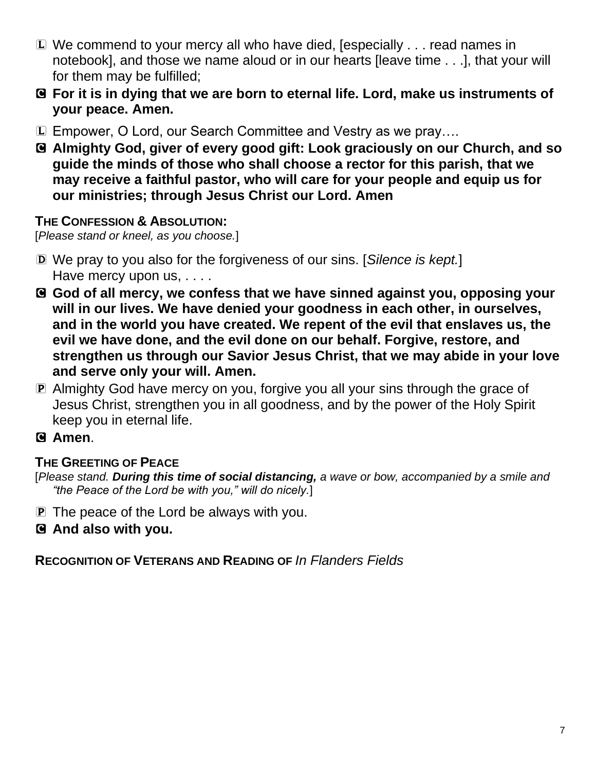- L We commend to your mercy all who have died, [especially . . . read names in notebook], and those we name aloud or in our hearts [leave time . . .], that your will for them may be fulfilled;
- C **For it is in dying that we are born to eternal life. Lord, make us instruments of your peace. Amen.**
- L Empower, O Lord, our Search Committee and Vestry as we pray….
- C **Almighty God, giver of every good gift: Look graciously on our Church, and so guide the minds of those who shall choose a rector for this parish, that we may receive a faithful pastor, who will care for your people and equip us for our ministries; through Jesus Christ our Lord. Amen**

#### **THE CONFESSION & ABSOLUTION:**

[*Please stand or kneel, as you choose.*]

- D We pray to you also for the forgiveness of our sins. [*Silence is kept.*] Have mercy upon us, . . . .
- C **God of all mercy, we confess that we have sinned against you, opposing your will in our lives. We have denied your goodness in each other, in ourselves, and in the world you have created. We repent of the evil that enslaves us, the evil we have done, and the evil done on our behalf. Forgive, restore, and strengthen us through our Savior Jesus Christ, that we may abide in your love and serve only your will. Amen.**
- P Almighty God have mercy on you, forgive you all your sins through the grace of Jesus Christ, strengthen you in all goodness, and by the power of the Holy Spirit keep you in eternal life.

#### C **Amen**.

#### **THE GREETING OF PEACE**

[*Please stand. During this time of social distancing, a wave or bow, accompanied by a smile and "the Peace of the Lord be with you," will do nicely.*]

- P The peace of the Lord be always with you.
- C **And also with you.**

**RECOGNITION OF VETERANS AND READING OF** *In Flanders Fields*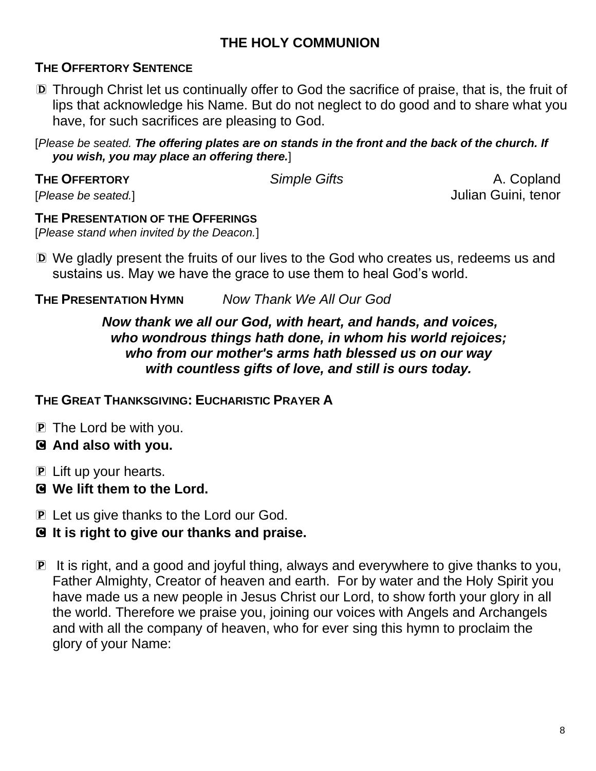#### **THE HOLY COMMUNION**

#### **THE OFFERTORY SENTENCE**

D Through Christ let us continually offer to God the sacrifice of praise, that is, the fruit of lips that acknowledge his Name. But do not neglect to do good and to share what you have, for such sacrifices are pleasing to God.

[*Please be seated. The offering plates are on stands in the front and the back of the church. If you wish, you may place an offering there.*]

**THE OFFERTORY Simple Gifts A. Copland** 

[*Please be seated.*] Julian Guini, tenor

#### **THE PRESENTATION OF THE OFFERINGS**

[*Please stand when invited by the Deacon.*]

D We gladly present the fruits of our lives to the God who creates us, redeems us and sustains us. May we have the grace to use them to heal God's world.

**THE PRESENTATION HYMN** *Now Thank We All Our God*

#### *Now thank we all our God, with heart, and hands, and voices, who wondrous things hath done, in whom his world rejoices; who from our mother's arms hath blessed us on our way with countless gifts of love, and still is ours today.*

#### **THE GREAT THANKSGIVING: EUCHARISTIC PRAYER A**

#### P The Lord be with you.

#### C **And also with you.**

- P Lift up your hearts.
- C **We lift them to the Lord.**
- P Let us give thanks to the Lord our God.

# C **It is right to give our thanks and praise.**

P It is right, and a good and joyful thing, always and everywhere to give thanks to you, Father Almighty, Creator of heaven and earth. For by water and the Holy Spirit you have made us a new people in Jesus Christ our Lord, to show forth your glory in all the world. Therefore we praise you, joining our voices with Angels and Archangels and with all the company of heaven, who for ever sing this hymn to proclaim the glory of your Name: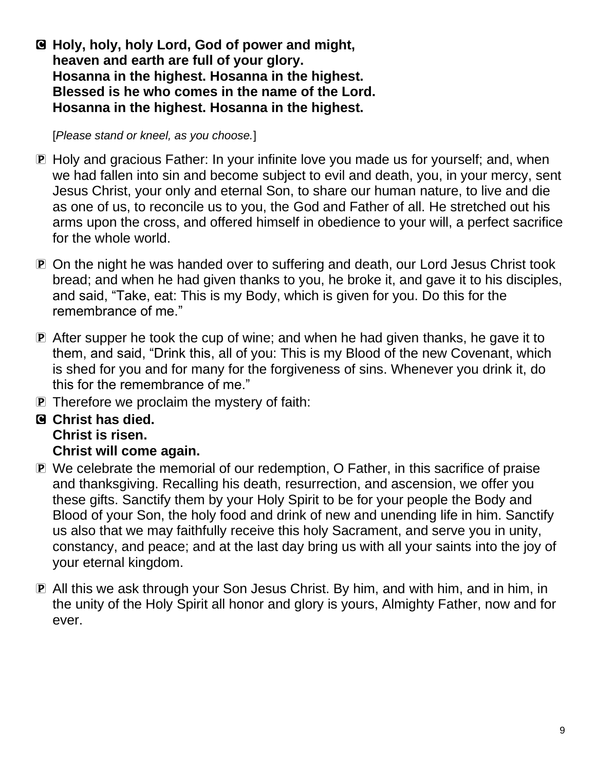#### C **Holy, holy, holy Lord, God of power and might, heaven and earth are full of your glory. Hosanna in the highest. Hosanna in the highest. Blessed is he who comes in the name of the Lord. Hosanna in the highest. Hosanna in the highest.**

[*Please stand or kneel, as you choose.*]

- P Holy and gracious Father: In your infinite love you made us for yourself; and, when we had fallen into sin and become subject to evil and death, you, in your mercy, sent Jesus Christ, your only and eternal Son, to share our human nature, to live and die as one of us, to reconcile us to you, the God and Father of all. He stretched out his arms upon the cross, and offered himself in obedience to your will, a perfect sacrifice for the whole world.
- P On the night he was handed over to suffering and death, our Lord Jesus Christ took bread; and when he had given thanks to you, he broke it, and gave it to his disciples, and said, "Take, eat: This is my Body, which is given for you. Do this for the remembrance of me."
- P After supper he took the cup of wine; and when he had given thanks, he gave it to them, and said, "Drink this, all of you: This is my Blood of the new Covenant, which is shed for you and for many for the forgiveness of sins. Whenever you drink it, do this for the remembrance of me."
- P Therefore we proclaim the mystery of faith:

### C **Christ has died. Christ is risen. Christ will come again.**

- P We celebrate the memorial of our redemption, O Father, in this sacrifice of praise and thanksgiving. Recalling his death, resurrection, and ascension, we offer you these gifts. Sanctify them by your Holy Spirit to be for your people the Body and Blood of your Son, the holy food and drink of new and unending life in him. Sanctify us also that we may faithfully receive this holy Sacrament, and serve you in unity, constancy, and peace; and at the last day bring us with all your saints into the joy of your eternal kingdom.
- P All this we ask through your Son Jesus Christ. By him, and with him, and in him, in the unity of the Holy Spirit all honor and glory is yours, Almighty Father, now and for ever.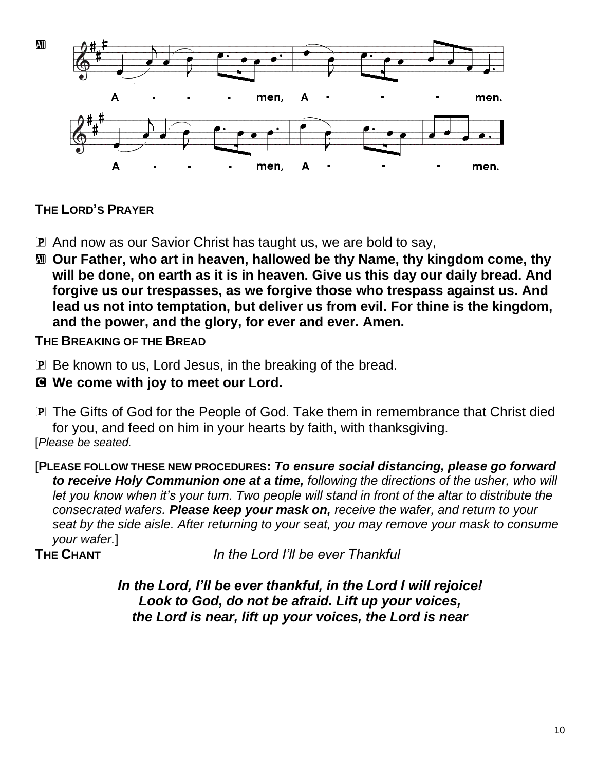

#### **THE LORD'S PRAYER**

- P And now as our Savior Christ has taught us, we are bold to say,
- a **Our Father, who art in heaven, hallowed be thy Name, thy kingdom come, thy will be done, on earth as it is in heaven. Give us this day our daily bread. And forgive us our trespasses, as we forgive those who trespass against us. And lead us not into temptation, but deliver us from evil. For thine is the kingdom, and the power, and the glory, for ever and ever. Amen.**

**THE BREAKING OF THE BREAD** 

- P Be known to us, Lord Jesus, in the breaking of the bread.
- C **We come with joy to meet our Lord.**

P The Gifts of God for the People of God. Take them in remembrance that Christ died for you, and feed on him in your hearts by faith, with thanksgiving. [*Please be seated.* 

[**PLEASE FOLLOW THESE NEW PROCEDURES:** *To ensure social distancing, please go forward to receive Holy Communion one at a time, following the directions of the usher, who will let you know when it's your turn. Two people will stand in front of the altar to distribute the consecrated wafers. Please keep your mask on, receive the wafer, and return to your seat by the side aisle. After returning to your seat, you may remove your mask to consume your wafer.*]

**THE CHANT** *In the Lord I'll be ever Thankful*

*In the Lord, I'll be ever thankful, in the Lord I will rejoice! Look to God, do not be afraid. Lift up your voices, the Lord is near, lift up your voices, the Lord is near*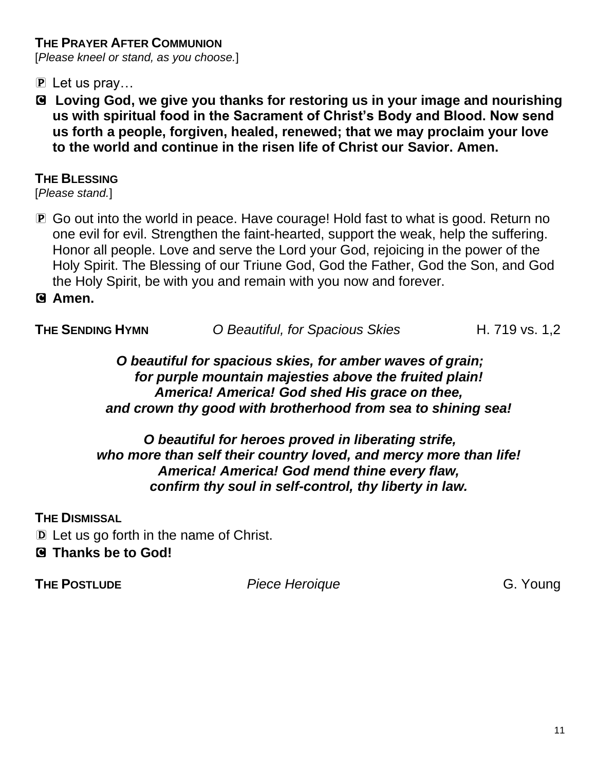#### **THE PRAYER AFTER COMMUNION**

[*Please kneel or stand, as you choose.*]

 $\mathbf{P}$  Let us pray...

C **Loving God, we give you thanks for restoring us in your image and nourishing us with spiritual food in the Sacrament of Christ's Body and Blood. Now send us forth a people, forgiven, healed, renewed; that we may proclaim your love to the world and continue in the risen life of Christ our Savior. Amen.** 

#### **THE BLESSING**

[*Please stand.*]

P Go out into the world in peace. Have courage! Hold fast to what is good. Return no one evil for evil. Strengthen the faint-hearted, support the weak, help the suffering. Honor all people. Love and serve the Lord your God, rejoicing in the power of the Holy Spirit. The Blessing of our Triune God, God the Father, God the Son, and God the Holy Spirit, be with you and remain with you now and forever.

C **Amen.**

| <b>THE SENDING HYMN</b> | O Beautiful, for Spacious Skies | H. 719 vs. 1,2 |
|-------------------------|---------------------------------|----------------|
|-------------------------|---------------------------------|----------------|

#### *O beautiful for spacious skies, for amber waves of grain; for purple mountain majesties above the fruited plain! America! America! God shed His grace on thee, and crown thy good with brotherhood from sea to shining sea!*

*O beautiful for heroes proved in liberating strife, who more than self their country loved, and mercy more than life! America! America! God mend thine every flaw, confirm thy soul in self-control, thy liberty in law.*

**THE DISMISSAL** 

D Let us go forth in the name of Christ.

C **Thanks be to God!** 

**THE POSTLUDE** *Piece Heroique* G. Young